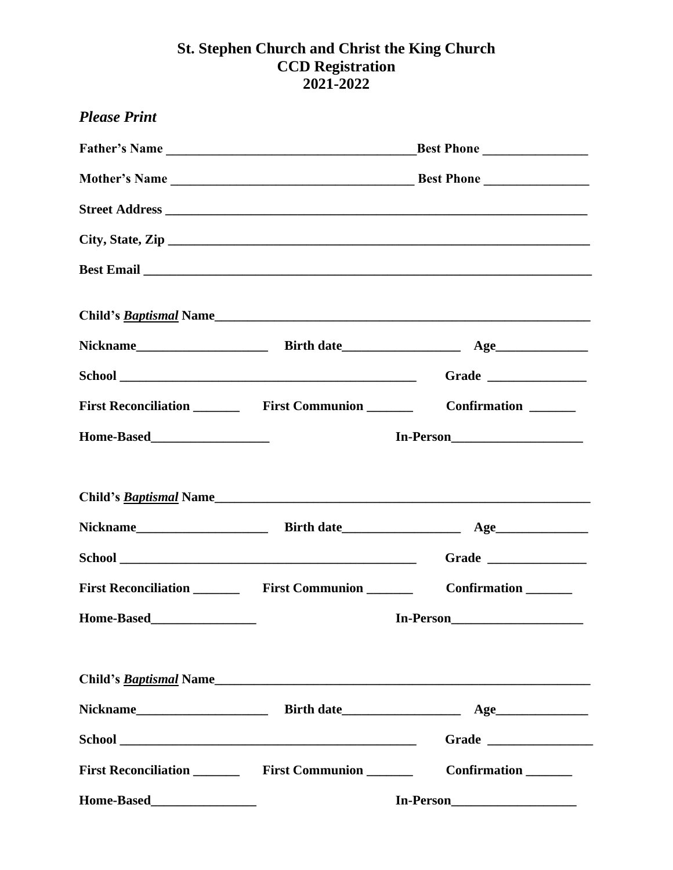## **St. Stephen Church and Christ the King Church CCD Registration 2021-2022**

| <b>Please Print</b> |                                                           |                               |  |
|---------------------|-----------------------------------------------------------|-------------------------------|--|
|                     | Father's Name<br>Best Phone                               |                               |  |
|                     |                                                           |                               |  |
|                     |                                                           |                               |  |
|                     |                                                           | City, State, Zip              |  |
|                     |                                                           |                               |  |
|                     |                                                           | Child's <u>Baptismal</u> Name |  |
|                     |                                                           |                               |  |
|                     |                                                           | Grade $\qquad$                |  |
|                     |                                                           | Confirmation _______          |  |
|                     | In-Person                                                 |                               |  |
|                     |                                                           |                               |  |
|                     |                                                           | Child's <u>Baptismal</u> Name |  |
|                     |                                                           |                               |  |
|                     |                                                           | Grade $\qquad$                |  |
|                     |                                                           | Confirmation                  |  |
|                     | In-Person                                                 |                               |  |
|                     |                                                           |                               |  |
|                     |                                                           |                               |  |
|                     |                                                           | Grade                         |  |
|                     | First Reconciliation ___________ First Communion ________ | Confirmation _______          |  |
|                     |                                                           |                               |  |